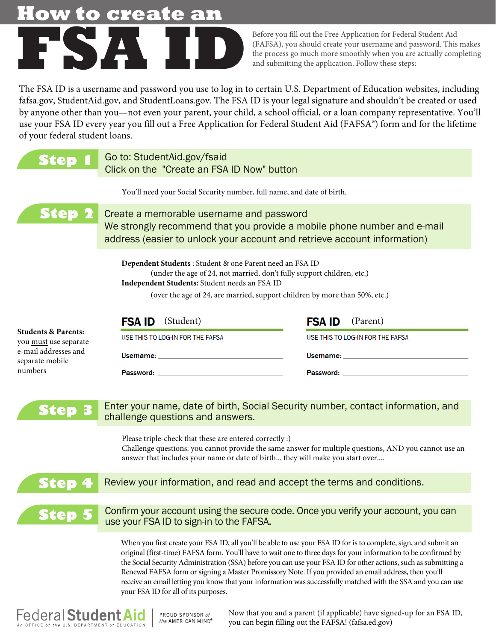## **How to create an**



Before you fill out the Free Application for Federal Student Aid (FAFSA), you should create your username and password. This makes the process go much more smoothly when you are actually completing and submitting the application. Follow these steps:

The FSA ID is a username and password you use to log in to certain U.S. Department of Education websites, including fafsa.gov, StudentAid.gov, and StudentLoans.[gov. The FSA](http://www.fafsa.gov) ID is your legal signature and shouldn't be created or used by anyone other than you—not even your parent, your child, a school official, or a loan company representative. You'll [use your FSA ID ev](http://www.nslds.ed.gov)[ery year you fill ou](http://StudentLoans.gov)t [a Free Application](http://StudentAid.gov) for Federal Student Aid (FAFSA[®\) form and for the lifetim](http://www.teach-ats.ed.gov)e of your federal student loans.

|                                                                                                                           | Go to: StudentAid.gov/fsaid<br>Click on the "Create an FSA ID Now" button                                                                                                                                                                                                                                                                                                                                                                                                                                                                                                                                                |                                                                                                                                                                                                                                |
|---------------------------------------------------------------------------------------------------------------------------|--------------------------------------------------------------------------------------------------------------------------------------------------------------------------------------------------------------------------------------------------------------------------------------------------------------------------------------------------------------------------------------------------------------------------------------------------------------------------------------------------------------------------------------------------------------------------------------------------------------------------|--------------------------------------------------------------------------------------------------------------------------------------------------------------------------------------------------------------------------------|
|                                                                                                                           | You'll need your Social Security number, full name, and date of birth.                                                                                                                                                                                                                                                                                                                                                                                                                                                                                                                                                   |                                                                                                                                                                                                                                |
|                                                                                                                           | Create a memorable username and password<br>We strongly recommend that you provide a mobile phone number and e-mail<br>address (easier to unlock your account and retrieve account information)                                                                                                                                                                                                                                                                                                                                                                                                                          |                                                                                                                                                                                                                                |
|                                                                                                                           | Dependent Students: Student & one Parent need an FSA ID<br>(under the age of 24, not married, don't fully support children, etc.)<br>Independent Students: Student needs an FSA ID<br>(over the age of 24, are married, support children by more than 50%, etc.)                                                                                                                                                                                                                                                                                                                                                         |                                                                                                                                                                                                                                |
|                                                                                                                           | (Student)<br><b>FSA ID</b>                                                                                                                                                                                                                                                                                                                                                                                                                                                                                                                                                                                               | (Parent)<br><b>FSA ID</b>                                                                                                                                                                                                      |
| <b>Students &amp; Parents:</b><br>you must use separate<br>e-mail addresses and<br>separate mobile<br>numbers             | USE THIS TO LOG-IN FOR THE FAFSA                                                                                                                                                                                                                                                                                                                                                                                                                                                                                                                                                                                         | USE THIS TO LOG-IN FOR THE FAFSA                                                                                                                                                                                               |
|                                                                                                                           | Username: with a contract of the contract of the contract of the contract of the contract of the contract of the contract of the contract of the contract of the contract of the contract of the contract of the contract of t                                                                                                                                                                                                                                                                                                                                                                                           | Username: will be a controller to the controller of the controller of the controller of the controller of the controller of the controller of the controller of the controller of the controller of the controller of the cont |
|                                                                                                                           | Password: the contract of the contract of the contract of the contract of the contract of the contract of the contract of the contract of the contract of the contract of the contract of the contract of the contract of the                                                                                                                                                                                                                                                                                                                                                                                            | Password: <b>Example 2018</b>                                                                                                                                                                                                  |
| Steb                                                                                                                      | Enter your name, date of birth, Social Security number, contact information, and<br>challenge questions and answers.<br>Please triple-check that these are entered correctly :)<br>Challenge questions: you cannot provide the same answer for multiple questions, AND you cannot use an<br>answer that includes your name or date of birth they will make you start over                                                                                                                                                                                                                                                |                                                                                                                                                                                                                                |
|                                                                                                                           | Review your information, and read and accept the terms and conditions.                                                                                                                                                                                                                                                                                                                                                                                                                                                                                                                                                   |                                                                                                                                                                                                                                |
| <b>Step</b>                                                                                                               | Confirm your account using the secure code. Once you verify your account, you can<br>use your FSA ID to sign-in to the FAFSA.                                                                                                                                                                                                                                                                                                                                                                                                                                                                                            |                                                                                                                                                                                                                                |
|                                                                                                                           | When you first create your FSA ID, all you'll be able to use your FSA ID for is to complete, sign, and submit an<br>original (first-time) FAFSA form. You'll have to wait one to three days for your information to be confirmed by<br>the Social Security Administration (SSA) before you can use your FSA ID for other actions, such as submitting a<br>Renewal FAFSA form or signing a Master Promissory Note. If you provided an email address, then you'll<br>receive an email letting you know that your information was successfully matched with the SSA and you can use<br>your FSA ID for all of its purposes. |                                                                                                                                                                                                                                |
| <b>Federal Student Aid</b><br>Now that you and a parent (if applicable) have signed-up for an FSA ID,<br>PROUD SPONSOR of |                                                                                                                                                                                                                                                                                                                                                                                                                                                                                                                                                                                                                          |                                                                                                                                                                                                                                |

PROUD SPONSOR of the AMERICAN MIND® ICE of the ILS DEPARTMENT of EDUCATION

Now that you and a parent (if applicable) have signed-up for an FSA ID, you can begin filling out the FAFSA! (fafsa.ed.gov)